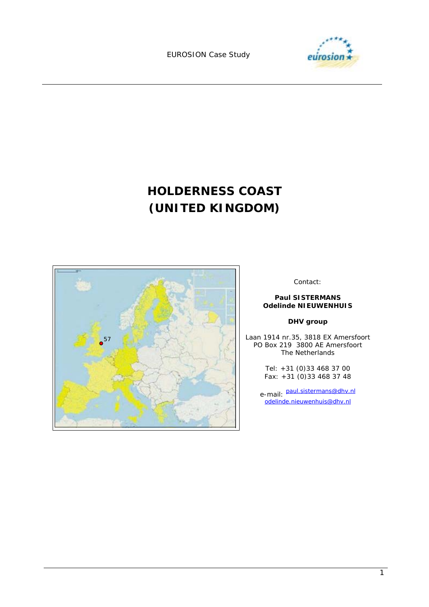

# **HOLDERNESS COAST (UNITED KINGDOM)**



Contact:

#### **Paul SISTERMANS Odelinde NIEUWENHUIS**

### **DHV group**

Laan 1914 nr.35, 3818 EX Amersfoort PO Box 219 3800 AE Amersfoort The Netherlands

> Tel: +31 (0)33 468 37 00 Fax: +31 (0)33 468 37 48

e-mail: paul.sistermans@dhv.nl odelinde.nieuwenhuis@dhv.nl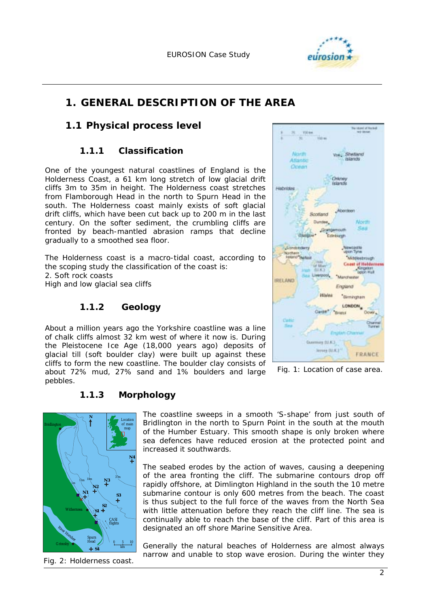

# **1. GENERAL DESCRIPTION OF THE AREA**

### **1.1 Physical process level**

### **1.1.1 Classification**

One of the youngest natural coastlines of England is the Holderness Coast, a 61 km long stretch of low glacial drift cliffs 3m to 35m in height. The Holderness coast stretches from Flamborough Head in the north to Spurn Head in the south. The Holderness coast mainly exists of soft glacial drift cliffs, which have been cut back up to 200 m in the last century. On the softer sediment, the crumbling cliffs are fronted by beach-mantled abrasion ramps that decline gradually to a smoothed sea floor.

The Holderness coast is a macro-tidal coast, according to the scoping study the classification of the coast is: 2. Soft rock coasts High and low glacial sea cliffs

### **1.1.2 Geology**

About a million years ago the Yorkshire coastline was a line of chalk cliffs almost 32 km west of where it now is. During the Pleistocene Ice Age (18,000 years ago) deposits of glacial till (soft boulder clay) were built up against these cliffs to form the new coastline. The boulder clay consists of about 72% mud, 27% sand and 1% boulders and large pebbles.



*Fig. 1: Location of case area.*

### **1.1.3 Morphology**



*Fig. 2: Holderness coast.* 

The coastline sweeps in a smooth 'S-shape' from just south of Bridlington in the north to Spurn Point in the south at the mouth of the Humber Estuary. This smooth shape is only broken where sea defences have reduced erosion at the protected point and increased it southwards.

The seabed erodes by the action of waves, causing a deepening of the area fronting the cliff. The submarine contours drop off rapidly offshore, at Dimlington Highland in the south the 10 metre submarine contour is only 600 metres from the beach. The coast is thus subject to the full force of the waves from the North Sea with little attenuation before they reach the cliff line. The sea is continually able to reach the base of the cliff. Part of this area is designated an off shore Marine Sensitive Area.

Generally the natural beaches of Holderness are almost always narrow and unable to stop wave erosion. During the winter they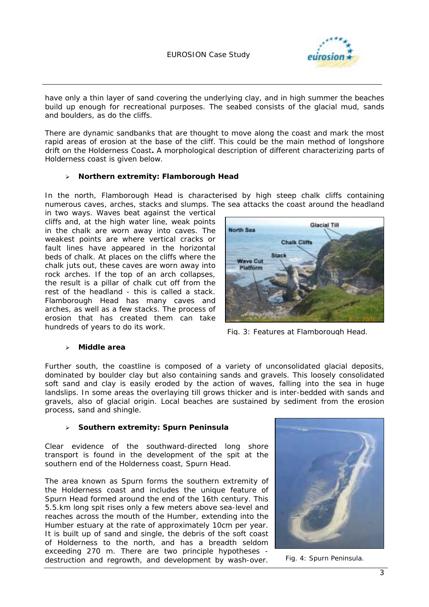

have only a thin layer of sand covering the underlying clay, and in high summer the beaches build up enough for recreational purposes. The seabed consists of the glacial mud, sands and boulders, as do the cliffs.

There are dynamic sandbanks that are thought to move along the coast and mark the most rapid areas of erosion at the base of the cliff. This could be the main method of longshore drift on the Holderness Coast**.** A morphological description of different characterizing parts of Holderness coast is given below.

#### ! **Northern extremity: Flamborough Head**

In the north, Flamborough Head is characterised by high steep chalk cliffs containing numerous caves, arches, stacks and slumps. The sea attacks the coast around the headland

in two ways. Waves beat against the vertical cliffs and, at the high water line, weak points in the chalk are worn away into caves. The weakest points are where vertical cracks or fault lines have appeared in the horizontal beds of chalk. At places on the cliffs where the chalk juts out, these caves are worn away into rock arches. If the top of an arch collapses, the result is a pillar of chalk cut off from the rest of the headland - this is called a stack. Flamborough Head has many caves and arches, as well as a few stacks. The process of erosion that has created them can take hundreds of years to do its work.



*Fig. 3: Features at Flamborough Head*.

#### ! **Middle area**

Further south, the coastline is composed of a variety of unconsolidated glacial deposits, dominated by boulder clay but also containing sands and gravels. This loosely consolidated soft sand and clay is easily eroded by the action of waves, falling into the sea in huge landslips. In some areas the overlaying till grows thicker and is inter-bedded with sands and gravels, also of glacial origin. Local beaches are sustained by sediment from the erosion process, sand and shingle.

#### ! **Southern extremity: Spurn Peninsula**

Clear evidence of the southward-directed long shore transport is found in the development of the spit at the southern end of the Holderness coast, Spurn Head.

The area known as Spurn forms the southern extremity of the Holderness coast and includes the unique feature of Spurn Head formed around the end of the 16th century. This 5.5.km long spit rises only a few meters above sea-level and reaches across the mouth of the Humber, extending into the Humber estuary at the rate of approximately 10cm per year. It is built up of sand and single, the debris of the soft coast of Holderness to the north, and has a breadth seldom exceeding 270 m. There are two principle hypotheses destruction and regrowth, and development by wash-over.



Fig. 4: Spurn Peninsula.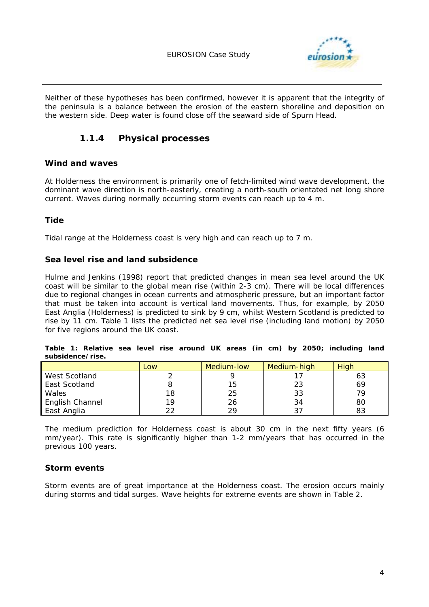

Neither of these hypotheses has been confirmed, however it is apparent that the integrity of the peninsula is a balance between the erosion of the eastern shoreline and deposition on the western side. Deep water is found close off the seaward side of Spurn Head.

### **1.1.4 Physical processes**

### **Wind and waves**

At Holderness the environment is primarily one of fetch-limited wind wave development, the dominant wave direction is north-easterly, creating a north-south orientated net long shore current. Waves during normally occurring storm events can reach up to 4 m.

### **Tide**

Tidal range at the Holderness coast is very high and can reach up to 7 m.

#### **Sea level rise and land subsidence**

Hulme and Jenkins (1998) report that predicted changes in mean sea level around the UK coast will be similar to the global mean rise (within 2-3 cm). There will be local differences due to regional changes in ocean currents and atmospheric pressure, but an important factor that must be taken into account is vertical land movements. Thus, for example, by 2050 East Anglia (Holderness) is predicted to sink by 9 cm, whilst Western Scotland is predicted to rise by 11 cm. Table 1 lists the predicted *net* sea level rise (including land motion) by 2050 for five regions around the UK coast.

|  |                  |  |  |  |  |  | Table 1: Relative sea level rise around UK areas (in cm) by 2050; including land |  |
|--|------------------|--|--|--|--|--|----------------------------------------------------------------------------------|--|
|  | subsidence/rise. |  |  |  |  |  |                                                                                  |  |

|                 | Low | Medium-low | Medium-high | Hiah |
|-----------------|-----|------------|-------------|------|
| West Scotland   |     |            |             | 63   |
| East Scotland   |     | 15.        | 23          | 69   |
| Wales           | 18  | 25         | 33          | 70   |
| English Channel | 19  | 26         | 34          | 80   |
| East Anglia     | つつ  | ာဝ         |             | 83   |

The medium prediction for Holderness coast is about 30 cm in the next fifty years (6 mm/year). This rate is significantly higher than 1-2 mm/years that has occurred in the previous 100 years.

### **Storm events**

Storm events are of great importance at the Holderness coast. The erosion occurs mainly during storms and tidal surges. Wave heights for extreme events are shown in Table 2.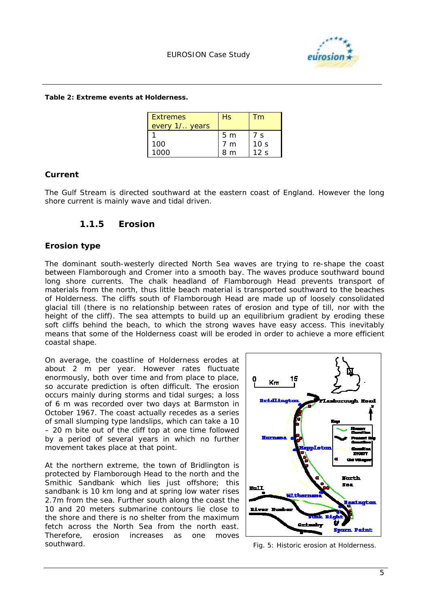

#### *Table 2: Extreme events at Holderness.*

| <b>Extremes</b><br>every 1/ years | Hs             | Tm              |
|-----------------------------------|----------------|-----------------|
|                                   | 5 <sub>m</sub> | 7 s             |
| 100                               | 7 m            | 10 <sub>s</sub> |
| 1000                              | 8 m            | 12 <sub>s</sub> |

#### **Current**

The Gulf Stream is directed southward at the eastern coast of England. However the long shore current is mainly wave and tidal driven.

### **1.1.5 Erosion**

### **Erosion type**

The dominant south-westerly directed North Sea waves are trying to re-shape the coast between Flamborough and Cromer into a smooth bay. The waves produce southward bound long shore currents. The chalk headland of Flamborough Head prevents transport of materials from the north, thus little beach material is transported southward to the beaches of Holderness. The cliffs south of Flamborough Head are made up of loosely consolidated glacial till (there is no relationship between rates of erosion and type of till, nor with the height of the cliff). The sea attempts to build up an equilibrium gradient by eroding these soft cliffs behind the beach, to which the strong waves have easy access. This inevitably means that some of the Holderness coast will be eroded in order to achieve a more efficient coastal shape.

On average, the coastline of Holderness erodes at about 2 m per year. However rates fluctuate enormously, both over time and from place to place, so accurate prediction is often difficult. The erosion occurs mainly during storms and tidal surges; a loss of 6 m was recorded over two days at Barmston in October 1967. The coast actually recedes as a series of small slumping type landslips, which can take a 10 – 20 m bite out of the cliff top at one time followed by a period of several years in which no further movement takes place at that point.

At the northern extreme, the town of Bridlington is protected by Flamborough Head to the north and the Smithic Sandbank which lies just offshore; this sandbank is 10 km long and at spring low water rises 2.7m from the sea. Further south along the coast the 10 and 20 meters submarine contours lie close to the shore and there is no shelter from the maximum fetch across the North Sea from the north east. Therefore, erosion increases as one moves southward. *Fig. 5: Historic erosion at Holderness.* 

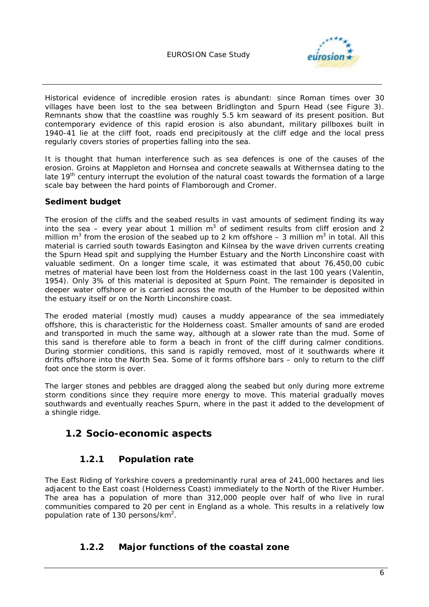

Historical evidence of incredible erosion rates is abundant: since Roman times over 30 villages have been lost to the sea between Bridlington and Spurn Head (see Figure 3). Remnants show that the coastline was roughly 5.5 km seaward of its present position. But contemporary evidence of this rapid erosion is also abundant, military pillboxes built in 1940-41 lie at the cliff foot, roads end precipitously at the cliff edge and the local press regularly covers stories of properties falling into the sea.

It is thought that human interference such as sea defences is one of the causes of the erosion. Groins at Mappleton and Hornsea and concrete seawalls at Withernsea dating to the late 19<sup>th</sup> century interrupt the evolution of the natural coast towards the formation of a large scale bay between the hard points of Flamborough and Cromer.

### **Sediment budget**

The erosion of the cliffs and the seabed results in vast amounts of sediment finding its way into the sea – every year about 1 million  $m^3$  of sediment results from cliff erosion and 2 million m<sup>3</sup> from the erosion of the seabed up to 2 km offshore – 3 million m<sup>3</sup> in total. All this material is carried south towards Easington and Kilnsea by the wave driven currents creating the Spurn Head spit and supplying the Humber Estuary and the North Linconshire coast with valuable sediment. On a longer time scale, it was estimated that about 76,450,00 cubic metres of material have been lost from the Holderness coast in the last 100 years (Valentin, 1954). Only 3% of this material is deposited at Spurn Point. The remainder is deposited in deeper water offshore or is carried across the mouth of the Humber to be deposited within the estuary itself or on the North Linconshire coast.

The eroded material (mostly mud) causes a muddy appearance of the sea immediately offshore, this is characteristic for the Holderness coast. Smaller amounts of sand are eroded and transported in much the same way, although at a slower rate than the mud. Some of this sand is therefore able to form a beach in front of the cliff during calmer conditions. During stormier conditions, this sand is rapidly removed, most of it southwards where it drifts offshore into the North Sea. Some of it forms offshore bars – only to return to the cliff foot once the storm is over.

The larger stones and pebbles are dragged along the seabed but only during more extreme storm conditions since they require more energy to move. This material gradually moves southwards and eventually reaches Spurn, where in the past it added to the development of a shingle ridge.

### **1.2 Socio-economic aspects**

### **1.2.1 Population rate**

The East Riding of Yorkshire covers a predominantly rural area of 241,000 hectares and lies adjacent to the East coast (Holderness Coast) immediately to the North of the River Humber. The area has a population of more than 312,000 people over half of who live in rural communities compared to 20 per cent in England as a whole. This results in a relatively low population rate of 130 persons/km<sup>2</sup>.

### **1.2.2 Major functions of the coastal zone**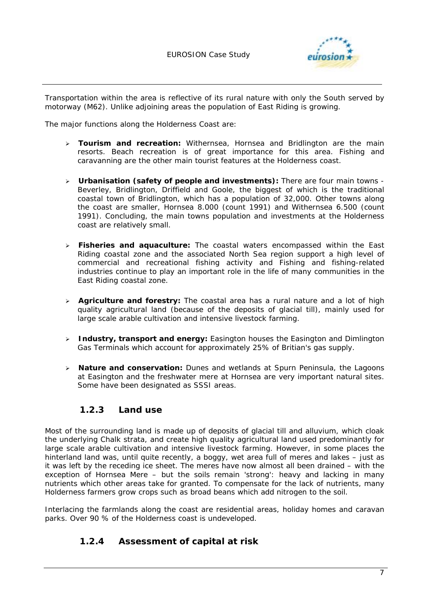

Transportation within the area is reflective of its rural nature with only the South served by motorway (M62). Unlike adjoining areas the population of East Riding is growing.

The major functions along the Holderness Coast are:

- ! **Tourism and recreation:** Withernsea, Hornsea and Bridlington are the main resorts. Beach recreation is of great importance for this area. Fishing and caravanning are the other main tourist features at the Holderness coast.
- ! **Urbanisation (safety of people and investments):** There are four main towns Beverley, Bridlington, Driffield and Goole, the biggest of which is the traditional coastal town of Bridlington, which has a population of 32,000. Other towns along the coast are smaller, Hornsea 8.000 (count 1991) and Withernsea 6.500 (count 1991). Concluding, the main towns population and investments at the Holderness coast are relatively small.
- ! **Fisheries and aquaculture:** The coastal waters encompassed within the East Riding coastal zone and the associated North Sea region support a high level of commercial and recreational fishing activity and Fishing and fishing-related industries continue to play an important role in the life of many communities in the East Riding coastal zone.
- ! **Agriculture and forestry:** The coastal area has a rural nature and a lot of high quality agricultural land (because of the deposits of glacial till), mainly used for large scale arable cultivation and intensive livestock farming.
- ! **Industry, transport and energy:** Easington houses the Easington and Dimlington Gas Terminals which account for approximately 25% of Britian's gas supply.
- ! **Nature and conservation:** Dunes and wetlands at Spurn Peninsula, the Lagoons at Easington and the freshwater mere at Hornsea are very important natural sites. Some have been designated as SSSI areas.

### **1.2.3 Land use**

Most of the surrounding land is made up of deposits of glacial till and alluvium, which cloak the underlying Chalk strata, and create high quality agricultural land used predominantly for large scale arable cultivation and intensive livestock farming. However, in some places the hinterland land was, until quite recently, a boggy, wet area full of meres and lakes – just as it was left by the receding ice sheet. The meres have now almost all been drained – with the exception of Hornsea Mere – but the soils remain 'strong': heavy and lacking in many nutrients which other areas take for granted. To compensate for the lack of nutrients, many Holderness farmers grow crops such as broad beans which add nitrogen to the soil.

Interlacing the farmlands along the coast are residential areas, holiday homes and caravan parks. Over 90 % of the Holderness coast is undeveloped.

### **1.2.4 Assessment of capital at risk**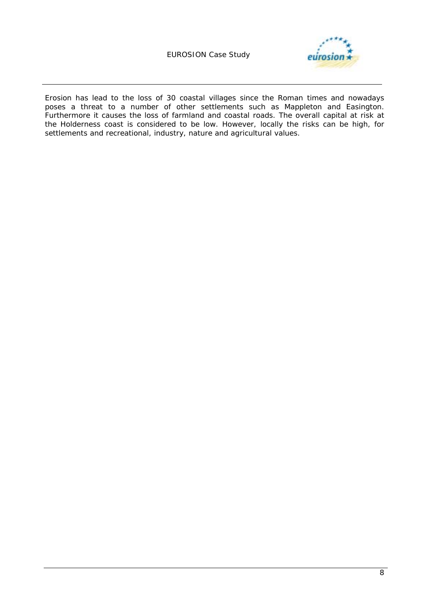### EUROSION Case Study



Erosion has lead to the loss of 30 coastal villages since the Roman times and nowadays poses a threat to a number of other settlements such as Mappleton and Easington. Furthermore it causes the loss of farmland and coastal roads. The overall capital at risk at the Holderness coast is considered to be low. However, locally the risks can be high, for settlements and recreational, industry, nature and agricultural values.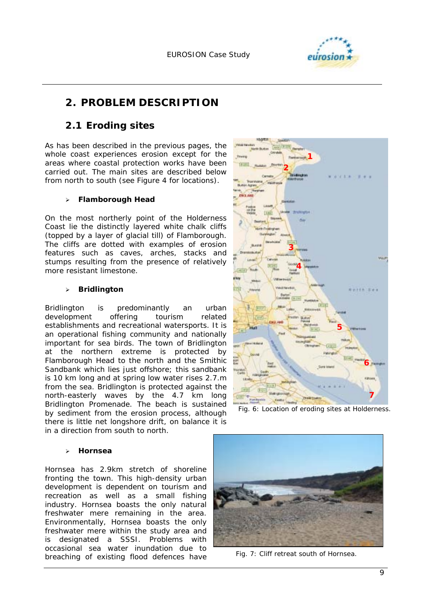

# **2. PROBLEM DESCRIPTION**

### **2.1 Eroding sites**

As has been described in the previous pages, the whole coast experiences erosion except for the areas where coastal protection works have been carried out. The main sites are described below from north to south (see Figure 4 for locations).

### ! **Flamborough Head**

On the most northerly point of the Holderness Coast lie the distinctly layered white chalk cliffs (topped by a layer of glacial till) of Flamborough. The cliffs are dotted with examples of erosion features such as caves, arches, stacks and stumps resulting from the presence of relatively more resistant limestone.

#### ! **Bridlington**

Bridlington is predominantly an urban development offering tourism related establishments and recreational watersports. It is an operational fishing community and nationally important for sea birds. The town of Bridlington at the northern extreme is protected by Flamborough Head to the north and the Smithic Sandbank which lies just offshore; this sandbank is 10 km long and at spring low water rises 2.7.m from the sea. Bridlington is protected against the north-easterly waves by the 4.7 km long Bridlington Promenade. The beach is sustained by sediment from the erosion process, although there is little net longshore drift, on balance it is in a direction from south to north.

#### ! **Hornsea**

Hornsea has 2.9km stretch of shoreline fronting the town. This high-density urban development is dependent on tourism and recreation as well as a small fishing industry. Hornsea boasts the only natural freshwater mere remaining in the area. Environmentally, Hornsea boasts the only freshwater mere within the study area and is designated a SSSI. Problems with occasional sea water inundation due to breaching of existing flood defences have



*Fig. 6: Location of eroding sites at Holderness.* 



*Fig. 7: Cliff retreat south of Hornsea.*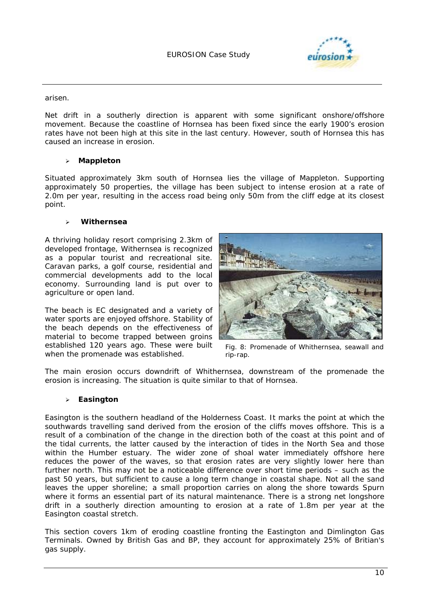

arisen.

Net drift in a southerly direction is apparent with some significant onshore/offshore movement. Because the coastline of Hornsea has been fixed since the early 1900's erosion rates have not been high at this site in the last century. However, south of Hornsea this has caused an increase in erosion.

#### ! **Mappleton**

Situated approximately 3km south of Hornsea lies the village of Mappleton. Supporting approximately 50 properties, the village has been subject to intense erosion at a rate of 2.0m per year, resulting in the access road being only 50m from the cliff edge at its closest point.

#### ! **Withernsea**

A thriving holiday resort comprising 2.3km of developed frontage, Withernsea is recognized as a popular tourist and recreational site. Caravan parks, a golf course, residential and commercial developments add to the local economy. Surrounding land is put over to agriculture or open land.

The beach is EC designated and a variety of water sports are enjoyed offshore. Stability of the beach depends on the effectiveness of material to become trapped between groins established 120 years ago. These were built when the promenade was established.



*Fig. 8: Promenade of Whithernsea, seawall and rip-rap.* 

The main erosion occurs downdrift of Whithernsea, downstream of the promenade the erosion is increasing. The situation is quite similar to that of Hornsea.

#### ! **Easington**

Easington is the southern headland of the Holderness Coast. It marks the point at which the southwards travelling sand derived from the erosion of the cliffs moves offshore. This is a result of a combination of the change in the direction both of the coast at this point and of the tidal currents, the latter caused by the interaction of tides in the North Sea and those within the Humber estuary. The wider zone of shoal water immediately offshore here reduces the power of the waves, so that erosion rates are very slightly lower here than further north. This may not be a noticeable difference over short time periods – such as the past 50 years, but sufficient to cause a long term change in coastal shape. Not all the sand leaves the upper shoreline; a small proportion carries on along the shore towards Spurn where it forms an essential part of its natural maintenance. There is a strong net longshore drift in a southerly direction amounting to erosion at a rate of 1.8m per year at the Easington coastal stretch.

This section covers 1km of eroding coastline fronting the Eastington and Dimlington Gas Terminals. Owned by British Gas and BP, they account for approximately 25% of Britian's gas supply.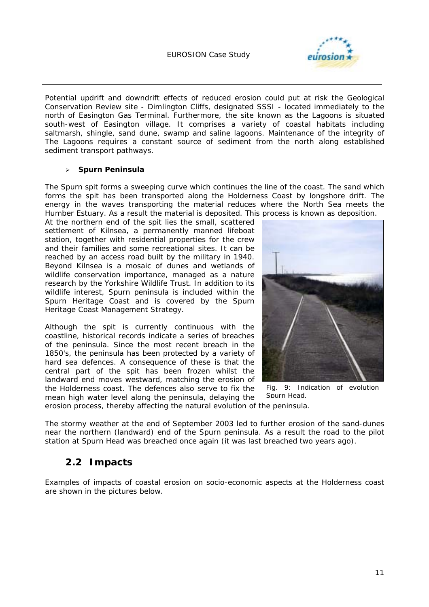

Potential updrift and downdrift effects of reduced erosion could put at risk the Geological Conservation Review site - Dimlington Cliffs, designated SSSI - located immediately to the north of Easington Gas Terminal. Furthermore, the site known as the Lagoons is situated south-west of Easington village. It comprises a variety of coastal habitats including saltmarsh, shingle, sand dune, swamp and saline lagoons. Maintenance of the integrity of The Lagoons requires a constant source of sediment from the north along established sediment transport pathways.

#### ! **Spurn Peninsula**

The Spurn spit forms a sweeping curve which continues the line of the coast. The sand which forms the spit has been transported along the Holderness Coast by longshore drift. The energy in the waves transporting the material reduces where the North Sea meets the Humber Estuary. As a result the material is deposited. This process is known as deposition.

At the northern end of the spit lies the small, scattered settlement of Kilnsea, a permanently manned lifeboat station, together with residential properties for the crew and their families and some recreational sites. It can be reached by an access road built by the military in 1940. Beyond Kilnsea is a mosaic of dunes and wetlands of wildlife conservation importance, managed as a nature research by the Yorkshire Wildlife Trust. In addition to its wildlife interest, Spurn peninsula is included within the Spurn Heritage Coast and is covered by the Spurn Heritage Coast Management Strategy.

Although the spit is currently continuous with the coastline, historical records indicate a series of breaches of the peninsula. Since the most recent breach in the 1850's, the peninsula has been protected by a variety of hard sea defences. A consequence of these is that the central part of the spit has been frozen whilst the landward end moves westward, matching the erosion of the Holderness coast. The defences also serve to fix the mean high water level along the peninsula, delaying the



*Fig. 9: Indication of evolution Spurn Head.* 

erosion process, thereby affecting the natural evolution of the peninsula.

The stormy weather at the end of September 2003 led to further erosion of the sand-dunes near the northern (landward) end of the Spurn peninsula. As a result the road to the pilot station at Spurn Head was breached once again (it was last breached two years ago).

### **2.2 Impacts**

Examples of impacts of coastal erosion on socio-economic aspects at the Holderness coast are shown in the pictures below.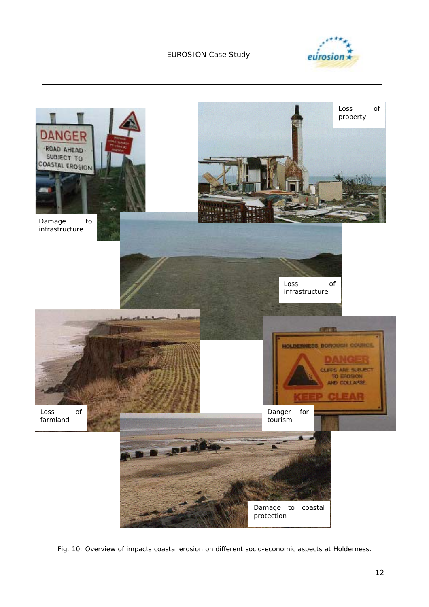### EUROSION Case Study





*Fig. 10: Overview of impacts coastal erosion on different socio-economic aspects at Holderness.*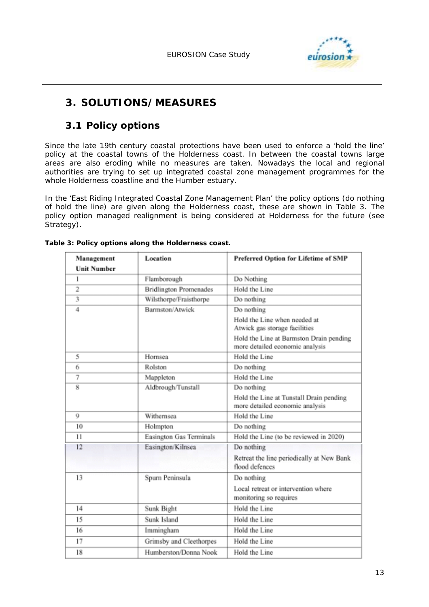

# **3. SOLUTIONS/MEASURES**

### **3.1 Policy options**

Since the late 19th century coastal protections have been used to enforce a 'hold the line' policy at the coastal towns of the Holderness coast. In between the coastal towns large areas are also eroding while no measures are taken. Nowadays the local and regional authorities are trying to set up integrated coastal zone management programmes for the whole Holderness coastline and the Humber estuary.

In the 'East Riding Integrated Coastal Zone Management Plan' the policy options (do nothing of hold the line) are given along the Holderness coast, these are shown in Table 3. The policy option managed realignment is being considered at Holderness for the future (see Strategy).

| Preferred Option for Lifetime of SMP      |  |  |  |
|-------------------------------------------|--|--|--|
|                                           |  |  |  |
|                                           |  |  |  |
|                                           |  |  |  |
|                                           |  |  |  |
|                                           |  |  |  |
|                                           |  |  |  |
|                                           |  |  |  |
| Hold the Line at Barmston Drain pending   |  |  |  |
|                                           |  |  |  |
|                                           |  |  |  |
|                                           |  |  |  |
|                                           |  |  |  |
| Hold the Line at Tunstall Drain pending   |  |  |  |
|                                           |  |  |  |
|                                           |  |  |  |
| Hold the Line (to be reviewed in 2020)    |  |  |  |
|                                           |  |  |  |
| Retreat the line periodically at New Bank |  |  |  |
|                                           |  |  |  |
|                                           |  |  |  |
|                                           |  |  |  |
|                                           |  |  |  |
|                                           |  |  |  |
|                                           |  |  |  |
|                                           |  |  |  |
|                                           |  |  |  |

#### *Table 3: Policy options along the Holderness coast.*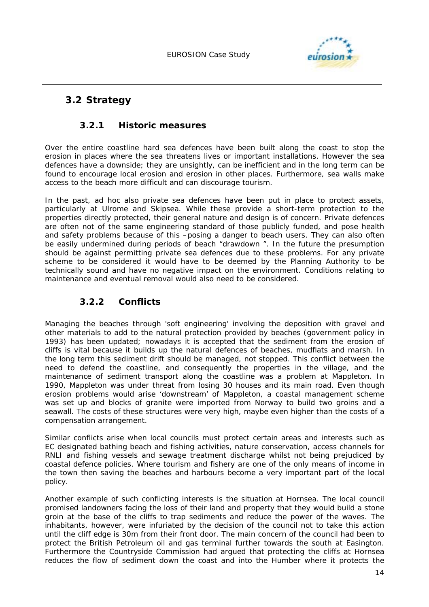

# **3.2 Strategy**

### **3.2.1 Historic measures**

Over the entire coastline hard sea defences have been built along the coast to stop the erosion in places where the sea threatens lives or important installations. However the sea defences have a downside; they are unsightly, can be inefficient and in the long term can be found to encourage local erosion and erosion in other places. Furthermore, sea walls make access to the beach more difficult and can discourage tourism.

In the past, ad hoc also private sea defences have been put in place to protect assets, particularly at Ulrome and Skipsea. While these provide a short-term protection to the properties directly protected, their general nature and design is of concern. Private defences are often not of the same engineering standard of those publicly funded, and pose health and safety problems because of this –posing a danger to beach users. They can also often be easily undermined during periods of beach "drawdown ". In the future the presumption should be against permitting private sea defences due to these problems. For any private scheme to be considered it would have to be deemed by the Planning Authority to be technically sound and have no negative impact on the environment. Conditions relating to maintenance and eventual removal would also need to be considered.

### **3.2.2 Conflicts**

Managing the beaches through 'soft engineering' involving the deposition with gravel and other materials to add to the natural protection provided by beaches (government policy in 1993) has been updated; nowadays it is accepted that the sediment from the erosion of cliffs is vital because it builds up the natural defences of beaches, mudflats and marsh. In the long term this sediment drift should be managed, not stopped. This conflict between the need to defend the coastline, and consequently the properties in the village, and the maintenance of sediment transport along the coastline was a problem at Mappleton. In 1990, Mappleton was under threat from losing 30 houses and its main road. Even though erosion problems would arise 'downstream' of Mappleton, a coastal management scheme was set up and blocks of granite were imported from Norway to build two groins and a seawall. The costs of these structures were very high, maybe even higher than the costs of a compensation arrangement.

Similar conflicts arise when local councils must protect certain areas and interests such as EC designated bathing beach and fishing activities, nature conservation, access channels for RNLI and fishing vessels and sewage treatment discharge whilst not being prejudiced by coastal defence policies. Where tourism and fishery are one of the only means of income in the town then saving the beaches and harbours become a very important part of the local policy.

Another example of such conflicting interests is the situation at Hornsea. The local council promised landowners facing the loss of their land and property that they would build a stone groin at the base of the cliffs to trap sediments and reduce the power of the waves. The inhabitants, however, were infuriated by the decision of the council not to take this action until the cliff edge is 30m from their front door. The main concern of the council had been to protect the British Petroleum oil and gas terminal further towards the south at Easington. Furthermore the Countryside Commission had argued that protecting the cliffs at Hornsea reduces the flow of sediment down the coast and into the Humber where it protects the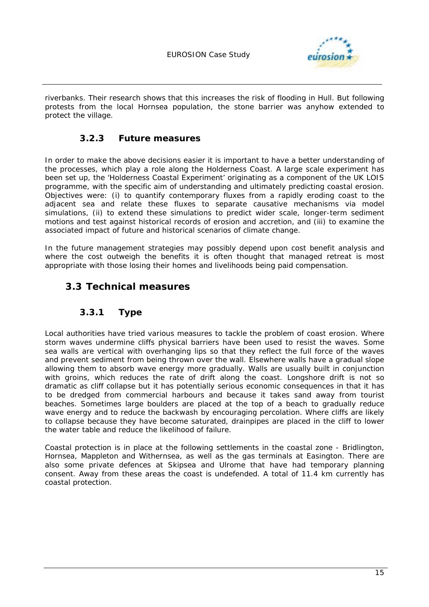

riverbanks. Their research shows that this increases the risk of flooding in Hull. But following protests from the local Hornsea population, the stone barrier was anyhow extended to protect the village.

### **3.2.3 Future measures**

In order to make the above decisions easier it is important to have a better understanding of the processes, which play a role along the Holderness Coast. A large scale experiment has been set up, the 'Holderness Coastal Experiment' originating as a component of the UK LOIS programme, with the specific aim of understanding and ultimately predicting coastal erosion. Objectives were: (i) to quantify contemporary fluxes from a rapidly eroding coast to the adjacent sea and relate these fluxes to separate causative mechanisms via model simulations, (ii) to extend these simulations to predict wider scale, longer-term sediment motions and test against historical records of erosion and accretion, and (iii) to examine the associated impact of future and historical scenarios of climate change.

In the future management strategies may possibly depend upon cost benefit analysis and where the cost outweigh the benefits it is often thought that managed retreat is most appropriate with those losing their homes and livelihoods being paid compensation.

### **3.3 Technical measures**

### **3.3.1 Type**

Local authorities have tried various measures to tackle the problem of coast erosion. Where storm waves undermine cliffs physical barriers have been used to resist the waves. Some sea walls are vertical with overhanging lips so that they reflect the full force of the waves and prevent sediment from being thrown over the wall. Elsewhere walls have a gradual slope allowing them to absorb wave energy more gradually. Walls are usually built in conjunction with groins, which reduces the rate of drift along the coast. Longshore drift is not so dramatic as cliff collapse but it has potentially serious economic consequences in that it has to be dredged from commercial harbours and because it takes sand away from tourist beaches. Sometimes large boulders are placed at the top of a beach to gradually reduce wave energy and to reduce the backwash by encouraging percolation. Where cliffs are likely to collapse because they have become saturated, drainpipes are placed in the cliff to lower the water table and reduce the likelihood of failure.

Coastal protection is in place at the following settlements in the coastal zone - Bridlington, Hornsea, Mappleton and Withernsea, as well as the gas terminals at Easington. There are also some private defences at Skipsea and Ulrome that have had temporary planning consent. Away from these areas the coast is undefended. A total of 11.4 km currently has coastal protection.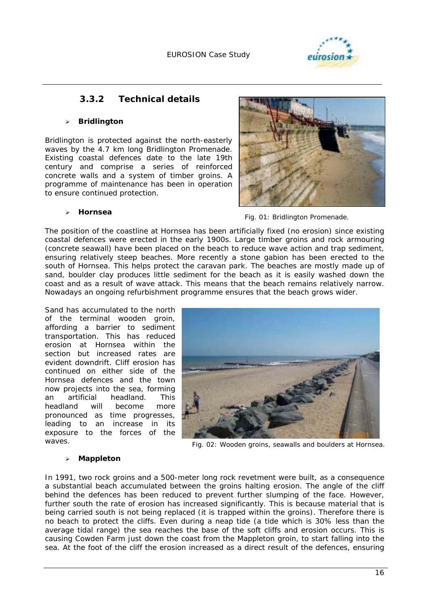

### **3.3.2 Technical details**

#### ! **Bridlington**

Bridlington is protected against the north-easterly waves by the 4.7 km long Bridlington Promenade. Existing coastal defences date to the late 19th century and comprise a series of reinforced concrete walls and a system of timber groins. A programme of maintenance has been in operation to ensure continued protection.



#### ! **Hornsea**

*Fig. 01: Bridlington Promenade.* 

The position of the coastline at Hornsea has been artificially fixed (no erosion) since existing coastal defences were erected in the early 1900s. Large timber groins and rock armouring (concrete seawall) have been placed on the beach to reduce wave action and trap sediment, ensuring relatively steep beaches. More recently a stone gabion has been erected to the south of Hornsea. This helps protect the caravan park. The beaches are mostly made up of sand, boulder clay produces little sediment for the beach as it is easily washed down the coast and as a result of wave attack. This means that the beach remains relatively narrow. Nowadays an ongoing refurbishment programme ensures that the beach grows wider.

Sand has accumulated to the north of the terminal wooden groin, affording a barrier to sediment transportation. This has reduced erosion at Hornsea within the section but increased rates are evident downdrift. Cliff erosion has continued on either side of the Hornsea defences and the town now projects into the sea, forming an artificial headland. This headland will become more pronounced as time progresses, leading to an increase in its exposure to the forces of the waves.



*Fig. 02: Wooden groins, seawalls and boulders at Hornsea.* 

#### ! **Mappleton**

In 1991, two rock groins and a 500-meter long rock revetment were built, as a consequence a substantial beach accumulated between the groins halting erosion. The angle of the cliff behind the defences has been reduced to prevent further slumping of the face. However, further south the rate of erosion has increased significantly. This is because material that is being carried south is not being replaced (it is trapped within the groins). Therefore there is no beach to protect the cliffs. Even during a neap tide (a tide which is 30% less than the average tidal range) the sea reaches the base of the soft cliffs and erosion occurs. This is causing Cowden Farm just down the coast from the Mappleton groin, to start falling into the sea. At the foot of the cliff the erosion increased as a direct result of the defences, ensuring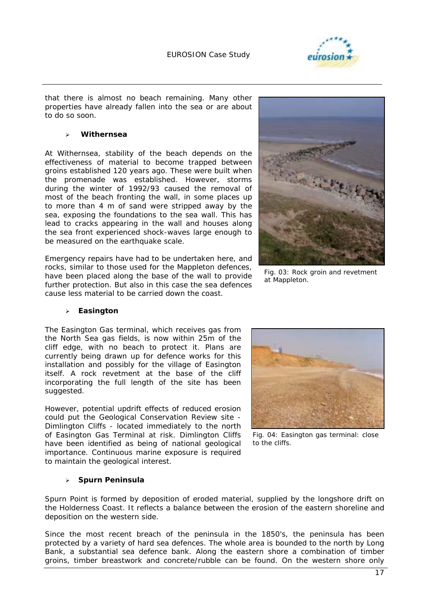

that there is almost no beach remaining. Many other properties have already fallen into the sea or are about to do so soon.

#### ! **Withernsea**

At Withernsea, stability of the beach depends on the effectiveness of material to become trapped between groins established 120 years ago. These were built when the promenade was established. However, storms during the winter of 1992/93 caused the removal of most of the beach fronting the wall, in some places up to more than 4 m of sand were stripped away by the sea, exposing the foundations to the sea wall. This has lead to cracks appearing in the wall and houses along the sea front experienced shock-waves large enough to be measured on the earthquake scale.

Emergency repairs have had to be undertaken here, and rocks, similar to those used for the Mappleton defences, have been placed along the base of the wall to provide further protection. But also in this case the sea defences cause less material to be carried down the coast.

#### ! **Easington**

The Easington Gas terminal, which receives gas from the North Sea gas fields, is now within 25m of the cliff edge, with no beach to protect it. Plans are currently being drawn up for defence works for this installation and possibly for the village of Easington itself. A rock revetment at the base of the cliff incorporating the full length of the site has been suggested.

However, potential updrift effects of reduced erosion could put the Geological Conservation Review site - Dimlington Cliffs - located immediately to the north of Easington Gas Terminal at risk. Dimlington Cliffs have been identified as being of national geological importance. Continuous marine exposure is required to maintain the geological interest.

#### ! **Spurn Peninsula**



*Fig. 04: Easington gas terminal: close to the cliffs.* 

Spurn Point is formed by deposition of eroded material, supplied by the longshore drift on the Holderness Coast. It reflects a balance between the erosion of the eastern shoreline and deposition on the western side.

Since the most recent breach of the peninsula in the 1850's, the peninsula has been protected by a variety of hard sea defences. The whole area is bounded to the north by Long Bank, a substantial sea defence bank. Along the eastern shore a combination of timber groins, timber breastwork and concrete/rubble can be found. On the western shore only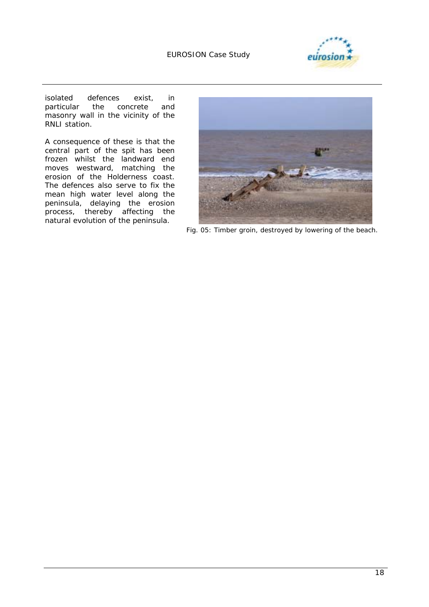

isolated defences exist, in<br>particular the concrete and the concrete and masonry wall in the vicinity of the RNLI station.

A consequence of these is that the central part of the spit has been frozen whilst the landward end moves westward, matching the erosion of the Holderness coast. The defences also serve to fix the mean high water level along the peninsula, delaying the erosion process, thereby affecting the natural evolution of the peninsula.



*Fig. 05: Timber groin, destroyed by lowering of the beach.*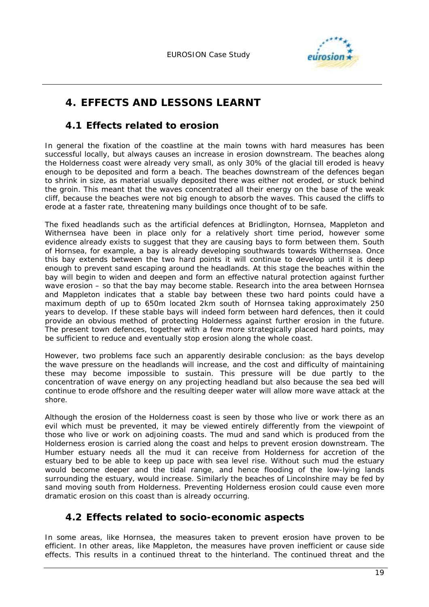

# **4. EFFECTS AND LESSONS LEARNT**

### **4.1 Effects related to erosion**

In general the fixation of the coastline at the main towns with hard measures has been successful locally, but always causes an increase in erosion downstream. The beaches along the Holderness coast were already very small, as only 30% of the glacial till eroded is heavy enough to be deposited and form a beach. The beaches downstream of the defences began to shrink in size, as material usually deposited there was either not eroded, or stuck behind the groin. This meant that the waves concentrated all their energy on the base of the weak cliff, because the beaches were not big enough to absorb the waves. This caused the cliffs to erode at a faster rate, threatening many buildings once thought of to be safe.

The fixed headlands such as the artificial defences at Bridlington, Hornsea, Mappleton and Withernsea have been in place only for a relatively short time period, however some evidence already exists to suggest that they are causing bays to form between them. South of Hornsea, for example, a bay is already developing southwards towards Withernsea. Once this bay extends between the two hard points it will continue to develop until it is deep enough to prevent sand escaping around the headlands. At this stage the beaches within the bay will begin to widen and deepen and form an effective natural protection against further wave erosion – so that the bay may become stable. Research into the area between Hornsea and Mappleton indicates that a stable bay between these two hard points could have a maximum depth of up to 650m located 2km south of Hornsea taking approximately 250 years to develop. If these stable bays will indeed form between hard defences, then it could provide an obvious method of protecting Holderness against further erosion in the future. The present town defences, together with a few more strategically placed hard points, may be sufficient to reduce and eventually stop erosion along the whole coast.

However, two problems face such an apparently desirable conclusion: as the bays develop the wave pressure on the headlands will increase, and the cost and difficulty of maintaining these may become impossible to sustain. This pressure will be due partly to the concentration of wave energy on any projecting headland but also because the sea bed will continue to erode offshore and the resulting deeper water will allow more wave attack at the shore.

Although the erosion of the Holderness coast is seen by those who live or work there as an evil which must be prevented, it may be viewed entirely differently from the viewpoint of those who live or work on adjoining coasts. The mud and sand which is produced from the Holderness erosion is carried along the coast and helps to prevent erosion downstream. The Humber estuary needs all the mud it can receive from Holderness for accretion of the estuary bed to be able to keep up pace with sea level rise. Without such mud the estuary would become deeper and the tidal range, and hence flooding of the low-lying lands surrounding the estuary, would increase. Similarly the beaches of Lincolnshire may be fed by sand moving south from Holderness. Preventing Holderness erosion could cause even more dramatic erosion on this coast than is already occurring.

# **4.2 Effects related to socio-economic aspects**

In some areas, like Hornsea, the measures taken to prevent erosion have proven to be efficient. In other areas, like Mappleton, the measures have proven inefficient or cause side effects. This results in a continued threat to the hinterland. The continued threat and the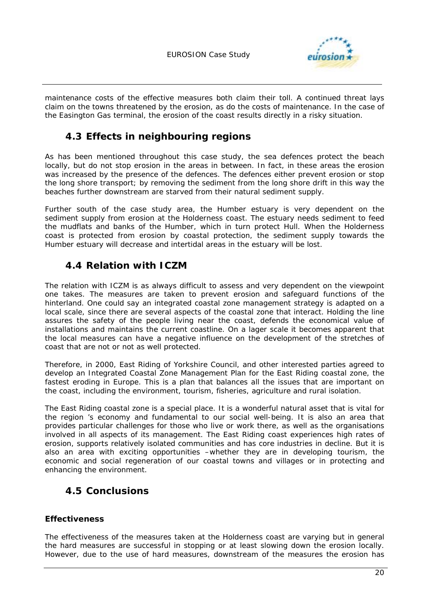

maintenance costs of the effective measures both claim their toll. A continued threat lays claim on the towns threatened by the erosion, as do the costs of maintenance. In the case of the Easington Gas terminal, the erosion of the coast results directly in a risky situation.

### **4.3 Effects in neighbouring regions**

As has been mentioned throughout this case study, the sea defences protect the beach locally, but do not stop erosion in the areas in between. In fact, in these areas the erosion was increased by the presence of the defences. The defences either prevent erosion or stop the long shore transport; by removing the sediment from the long shore drift in this way the beaches further downstream are starved from their natural sediment supply.

Further south of the case study area, the Humber estuary is very dependent on the sediment supply from erosion at the Holderness coast. The estuary needs sediment to feed the mudflats and banks of the Humber, which in turn protect Hull. When the Holderness coast is protected from erosion by coastal protection, the sediment supply towards the Humber estuary will decrease and intertidal areas in the estuary will be lost.

### **4.4 Relation with ICZM**

The relation with ICZM is as always difficult to assess and very dependent on the viewpoint one takes. The measures are taken to prevent erosion and safeguard functions of the hinterland. One could say an integrated coastal zone management strategy is adapted on a local scale, since there are several aspects of the coastal zone that interact. Holding the line assures the safety of the people living near the coast, defends the economical value of installations and maintains the current coastline. On a lager scale it becomes apparent that the local measures can have a negative influence on the development of the stretches of coast that are not or not as well protected.

Therefore, in 2000, East Riding of Yorkshire Council, and other interested parties agreed to develop an Integrated Coastal Zone Management Plan for the East Riding coastal zone, the fastest eroding in Europe. This is a plan that balances all the issues that are important on the coast, including the environment, tourism, fisheries, agriculture and rural isolation.

The East Riding coastal zone is a special place. It is a wonderful natural asset that is vital for the region 's economy and fundamental to our social well-being. It is also an area that provides particular challenges for those who live or work there, as well as the organisations involved in all aspects of its management. The East Riding coast experiences high rates of erosion, supports relatively isolated communities and has core industries in decline. But it is also an area with exciting opportunities –whether they are in developing tourism, the economic and social regeneration of our coastal towns and villages or in protecting and enhancing the environment.

# **4.5 Conclusions**

### **Effectiveness**

The effectiveness of the measures taken at the Holderness coast are varying but in general the hard measures are successful in stopping or at least slowing down the erosion locally. However, due to the use of hard measures, downstream of the measures the erosion has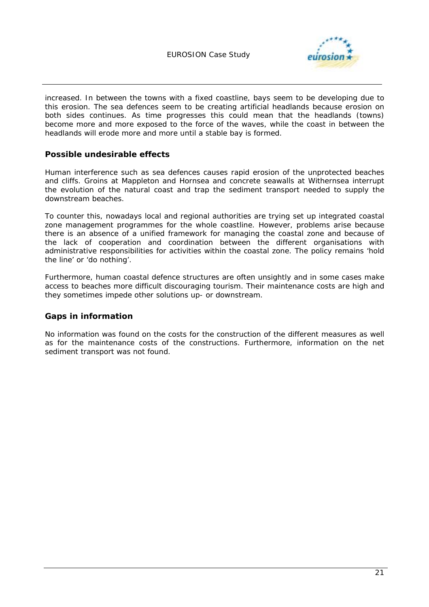

increased. In between the towns with a fixed coastline, bays seem to be developing due to this erosion. The sea defences seem to be creating artificial headlands because erosion on both sides continues. As time progresses this could mean that the headlands (towns) become more and more exposed to the force of the waves, while the coast in between the headlands will erode more and more until a stable bay is formed.

### **Possible undesirable effects**

Human interference such as sea defences causes rapid erosion of the unprotected beaches and cliffs. Groins at Mappleton and Hornsea and concrete seawalls at Withernsea interrupt the evolution of the natural coast and trap the sediment transport needed to supply the downstream beaches.

To counter this, nowadays local and regional authorities are trying set up integrated coastal zone management programmes for the whole coastline. However, problems arise because there is an absence of a unified framework for managing the coastal zone and because of the lack of cooperation and coordination between the different organisations with administrative responsibilities for activities within the coastal zone. The policy remains 'hold the line' or 'do nothing'.

Furthermore, human coastal defence structures are often unsightly and in some cases make access to beaches more difficult discouraging tourism. Their maintenance costs are high and they sometimes impede other solutions up- or downstream.

### **Gaps in information**

No information was found on the costs for the construction of the different measures as well as for the maintenance costs of the constructions. Furthermore, information on the net sediment transport was not found.